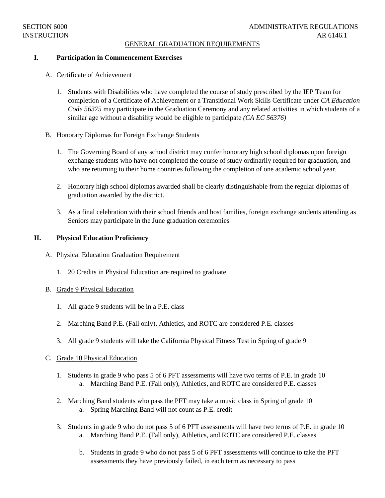#### GENERAL GRADUATION REQUIREMENTS

### **I. Participation in Commencement Exercises**

## A. Certificate of Achievement

1. Students with Disabilities who have completed the course of study prescribed by the IEP Team for completion of a Certificate of Achievement or a Transitional Work Skills Certificate under *CA Education Code 56375* may participate in the Graduation Ceremony and any related activities in which students of a similar age without a disability would be eligible to participate *(CA EC 56376)*

### B. Honorary Diplomas for Foreign Exchange Students

- 1. The Governing Board of any school district may confer honorary high school diplomas upon foreign exchange students who have not completed the course of study ordinarily required for graduation, and who are returning to their home countries following the completion of one academic school year.
- 2. Honorary high school diplomas awarded shall be clearly distinguishable from the regular diplomas of graduation awarded by the district.
- 3. As a final celebration with their school friends and host families, foreign exchange students attending as Seniors may participate in the June graduation ceremonies

### **II. Physical Education Proficiency**

- A. Physical Education Graduation Requirement
	- 1. 20 Credits in Physical Education are required to graduate
- B. Grade 9 Physical Education
	- 1. All grade 9 students will be in a P.E. class
	- 2. Marching Band P.E. (Fall only), Athletics, and ROTC are considered P.E. classes
	- 3. All grade 9 students will take the California Physical Fitness Test in Spring of grade 9

#### C. Grade 10 Physical Education

- 1. Students in grade 9 who pass 5 of 6 PFT assessments will have two terms of P.E. in grade 10 a. Marching Band P.E. (Fall only), Athletics, and ROTC are considered P.E. classes
- 2. Marching Band students who pass the PFT may take a music class in Spring of grade 10 a. Spring Marching Band will not count as P.E. credit
- 3. Students in grade 9 who do not pass 5 of 6 PFT assessments will have two terms of P.E. in grade 10 a. Marching Band P.E. (Fall only), Athletics, and ROTC are considered P.E. classes
	- b. Students in grade 9 who do not pass 5 of 6 PFT assessments will continue to take the PFT assessments they have previously failed, in each term as necessary to pass